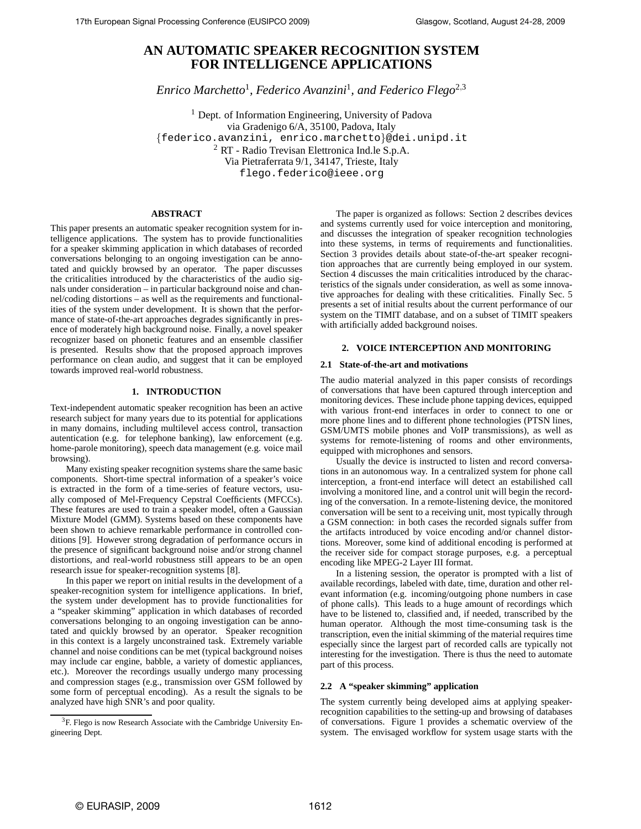# **AN AUTOMATIC SPEAKER RECOGNITION SYSTEM FOR INTELLIGENCE APPLICATIONS**

*Enrico Marchetto*<sup>1</sup> *, Federico Avanzini*<sup>1</sup> *, and Federico Flego*<sup>2</sup>,<sup>3</sup>

<sup>1</sup> Dept. of Information Engineering, University of Padova via Gradenigo 6/A, 35100, Padova, Italy {federico.avanzini, enrico.marchetto}@dei.unipd.it <sup>2</sup> RT - Radio Trevisan Elettronica Ind.le S.p.A. Via Pietraferrata 9/1, 34147, Trieste, Italy flego.federico@ieee.org

# **ABSTRACT**

This paper presents an automatic speaker recognition system for intelligence applications. The system has to provide functionalities for a speaker skimming application in which databases of recorded conversations belonging to an ongoing investigation can be annotated and quickly browsed by an operator. The paper discusses the criticalities introduced by the characteristics of the audio signals under consideration – in particular background noise and channel/coding distortions – as well as the requirements and functionalities of the system under development. It is shown that the performance of state-of-the-art approaches degrades significantly in presence of moderately high background noise. Finally, a novel speaker recognizer based on phonetic features and an ensemble classifier is presented. Results show that the proposed approach improves performance on clean audio, and suggest that it can be employed towards improved real-world robustness.

# **1. INTRODUCTION**

Text-independent automatic speaker recognition has been an active research subject for many years due to its potential for applications in many domains, including multilevel access control, transaction autentication (e.g. for telephone banking), law enforcement (e.g. home-parole monitoring), speech data management (e.g. voice mail browsing).

Many existing speaker recognition systems share the same basic components. Short-time spectral information of a speaker's voice is extracted in the form of a time-series of feature vectors, usually composed of Mel-Frequency Cepstral Coefficients (MFCCs). These features are used to train a speaker model, often a Gaussian Mixture Model (GMM). Systems based on these components have been shown to achieve remarkable performance in controlled conditions [9]. However strong degradation of performance occurs in the presence of significant background noise and/or strong channel distortions, and real-world robustness still appears to be an open research issue for speaker-recognition systems [8].

In this paper we report on initial results in the development of a speaker-recognition system for intelligence applications. In brief, the system under development has to provide functionalities for a "speaker skimming" application in which databases of recorded conversations belonging to an ongoing investigation can be annotated and quickly browsed by an operator. Speaker recognition in this context is a largely unconstrained task. Extremely variable channel and noise conditions can be met (typical background noises may include car engine, babble, a variety of domestic appliances, etc.). Moreover the recordings usually undergo many processing and compression stages (e.g., transmission over GSM followed by some form of perceptual encoding). As a result the signals to be analyzed have high SNR's and poor quality.

The paper is organized as follows: Section 2 describes devices and systems currently used for voice interception and monitoring, and discusses the integration of speaker recognition technologies into these systems, in terms of requirements and functionalities. Section 3 provides details about state-of-the-art speaker recognition approaches that are currently being employed in our system. Section 4 discusses the main criticalities introduced by the characteristics of the signals under consideration, as well as some innovative approaches for dealing with these criticalities. Finally Sec. 5 presents a set of initial results about the current performance of our system on the TIMIT database, and on a subset of TIMIT speakers with artificially added background noises.

# **2. VOICE INTERCEPTION AND MONITORING**

#### **2.1 State-of-the-art and motivations**

The audio material analyzed in this paper consists of recordings of conversations that have been captured through interception and monitoring devices. These include phone tapping devices, equipped with various front-end interfaces in order to connect to one or more phone lines and to different phone technologies (PTSN lines, GSM/UMTS mobile phones and VoIP transmissions), as well as systems for remote-listening of rooms and other environments, equipped with microphones and sensors.

Usually the device is instructed to listen and record conversations in an autonomous way. In a centralized system for phone call interception, a front-end interface will detect an estabilished call involving a monitored line, and a control unit will begin the recording of the conversation. In a remote-listening device, the monitored conversation will be sent to a receiving unit, most typically through a GSM connection: in both cases the recorded signals suffer from the artifacts introduced by voice encoding and/or channel distortions. Moreover, some kind of additional encoding is performed at the receiver side for compact storage purposes, e.g. a perceptual encoding like MPEG-2 Layer III format.

In a listening session, the operator is prompted with a list of available recordings, labeled with date, time, duration and other relevant information (e.g. incoming/outgoing phone numbers in case of phone calls). This leads to a huge amount of recordings which have to be listened to, classified and, if needed, transcribed by the human operator. Although the most time-consuming task is the transcription, even the initial skimming of the material requires time especially since the largest part of recorded calls are typically not interesting for the investigation. There is thus the need to automate part of this process.

# **2.2 A "speaker skimming" application**

The system currently being developed aims at applying speakerrecognition capabilities to the setting-up and browsing of databases of conversations. Figure 1 provides a schematic overview of the system. The envisaged workflow for system usage starts with the

<sup>&</sup>lt;sup>3</sup>F. Flego is now Research Associate with the Cambridge University Engineering Dept.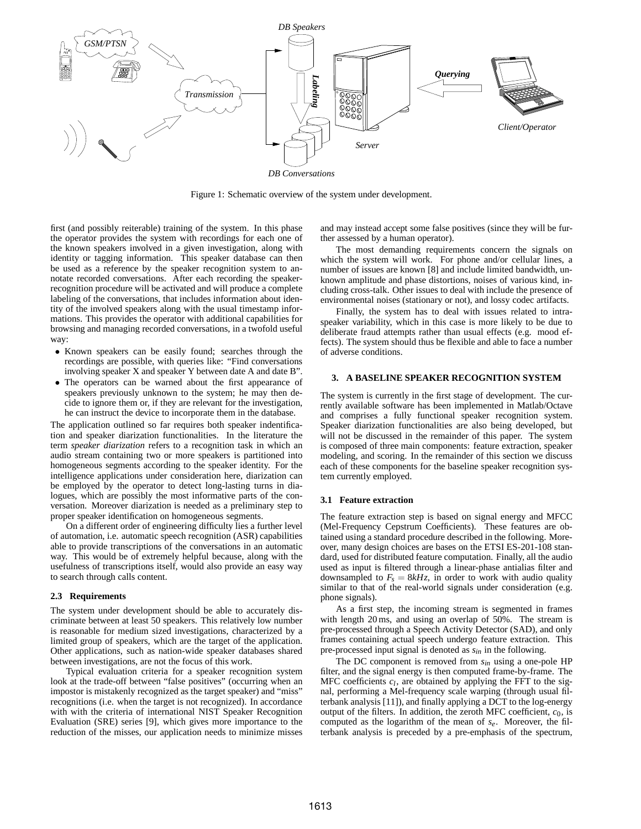

Figure 1: Schematic overview of the system under development.

first (and possibly reiterable) training of the system. In this phase the operator provides the system with recordings for each one of the known speakers involved in a given investigation, along with identity or tagging information. This speaker database can then be used as a reference by the speaker recognition system to annotate recorded conversations. After each recording the speakerrecognition procedure will be activated and will produce a complete labeling of the conversations, that includes information about identity of the involved speakers along with the usual timestamp informations. This provides the operator with additional capabilities for browsing and managing recorded conversations, in a twofold useful way:

- Known speakers can be easily found; searches through the recordings are possible, with queries like: "Find conversations involving speaker X and speaker Y between date A and date B".
- The operators can be warned about the first appearance of speakers previously unknown to the system; he may then decide to ignore them or, if they are relevant for the investigation, he can instruct the device to incorporate them in the database.

The application outlined so far requires both speaker indentification and speaker diarization functionalities. In the literature the term *speaker diarization* refers to a recognition task in which an audio stream containing two or more speakers is partitioned into homogeneous segments according to the speaker identity. For the intelligence applications under consideration here, diarization can be employed by the operator to detect long-lasting turns in dialogues, which are possibly the most informative parts of the conversation. Moreover diarization is needed as a preliminary step to proper speaker identification on homogeneous segments.

On a different order of engineering difficulty lies a further level of automation, i.e. automatic speech recognition (ASR) capabilities able to provide transcriptions of the conversations in an automatic way. This would be of extremely helpful because, along with the usefulness of transcriptions itself, would also provide an easy way to search through calls content.

#### **2.3 Requirements**

The system under development should be able to accurately discriminate between at least 50 speakers. This relatively low number is reasonable for medium sized investigations, characterized by a limited group of speakers, which are the target of the application. Other applications, such as nation-wide speaker databases shared between investigations, are not the focus of this work.

Typical evaluation criteria for a speaker recognition system look at the trade-off between "false positives" (occurring when an impostor is mistakenly recognized as the target speaker) and "miss" recognitions (i.e. when the target is not recognized). In accordance with with the criteria of international NIST Speaker Recognition Evaluation (SRE) series [9], which gives more importance to the reduction of the misses, our application needs to minimize misses and may instead accept some false positives (since they will be further assessed by a human operator).

The most demanding requirements concern the signals on which the system will work. For phone and/or cellular lines, a number of issues are known [8] and include limited bandwidth, unknown amplitude and phase distortions, noises of various kind, including cross-talk. Other issues to deal with include the presence of environmental noises (stationary or not), and lossy codec artifacts.

Finally, the system has to deal with issues related to intraspeaker variability, which in this case is more likely to be due to deliberate fraud attempts rather than usual effects (e.g. mood effects). The system should thus be flexible and able to face a number of adverse conditions.

#### **3. A BASELINE SPEAKER RECOGNITION SYSTEM**

The system is currently in the first stage of development. The currently available software has been implemented in Matlab/Octave and comprises a fully functional speaker recognition system. Speaker diarization functionalities are also being developed, but will not be discussed in the remainder of this paper. The system is composed of three main components: feature extraction, speaker modeling, and scoring. In the remainder of this section we discuss each of these components for the baseline speaker recognition system currently employed.

#### **3.1 Feature extraction**

The feature extraction step is based on signal energy and MFCC (Mel-Frequency Cepstrum Coefficients). These features are obtained using a standard procedure described in the following. Moreover, many design choices are bases on the ETSI ES-201-108 standard, used for distributed feature computation. Finally, all the audio used as input is filtered through a linear-phase antialias filter and downsampled to  $F_s = 8kHz$ , in order to work with audio quality similar to that of the real-world signals under consideration (e.g. phone signals).

As a first step, the incoming stream is segmented in frames with length 20 ms, and using an overlap of 50%. The stream is pre-processed through a Speech Activity Detector (SAD), and only frames containing actual speech undergo feature extraction. This pre-processed input signal is denoted as *sin* in the following.

The DC component is removed from *sin* using a one-pole HP filter, and the signal energy is then computed frame-by-frame. The MFC coefficients  $c_l$ , are obtained by applying the FFT to the signal, performing a Mel-frequency scale warping (through usual filterbank analysis [11]), and finally applying a DCT to the log-energy output of the filters. In addition, the zeroth MFC coefficient,  $c_0$ , is computed as the logarithm of the mean of *se*. Moreover, the filterbank analysis is preceded by a pre-emphasis of the spectrum,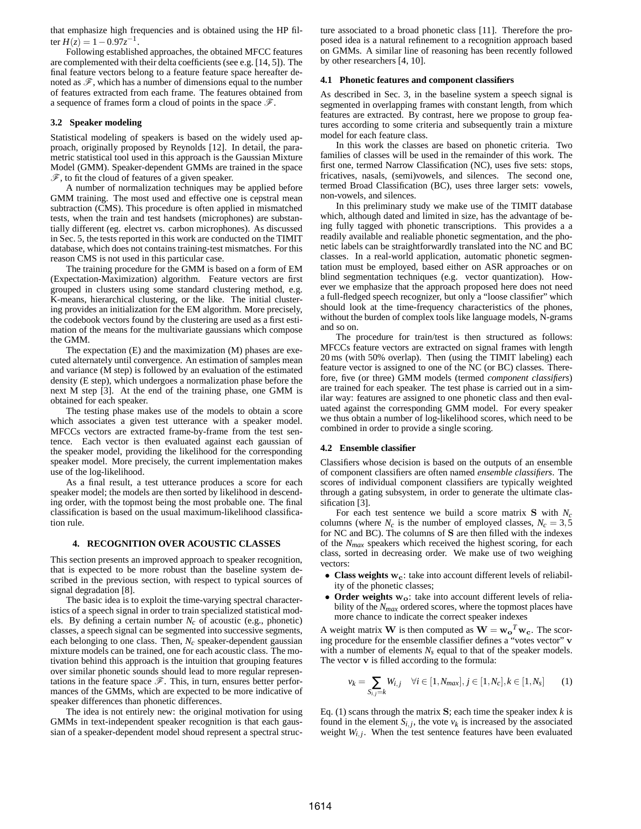that emphasize high frequencies and is obtained using the HP filter  $H(z) = 1 - 0.97z^{-1}$ .

Following established approaches, the obtained MFCC features are complemented with their delta coefficients (see e.g. [14, 5]). The final feature vectors belong to a feature feature space hereafter denoted as  $\mathscr{F}$ , which has a number of dimensions equal to the number of features extracted from each frame. The features obtained from a sequence of frames form a cloud of points in the space  $\mathscr{F}$ .

#### **3.2 Speaker modeling**

Statistical modeling of speakers is based on the widely used approach, originally proposed by Reynolds [12]. In detail, the parametric statistical tool used in this approach is the Gaussian Mixture Model (GMM). Speaker-dependent GMMs are trained in the space  $\mathscr F$ , to fit the cloud of features of a given speaker.

A number of normalization techniques may be applied before GMM training. The most used and effective one is cepstral mean subtraction (CMS). This procedure is often applied in mismatched tests, when the train and test handsets (microphones) are substantially different (eg. electret vs. carbon microphones). As discussed in Sec. 5, the tests reported in this work are conducted on the TIMIT database, which does not contains training-test mismatches. For this reason CMS is not used in this particular case.

The training procedure for the GMM is based on a form of EM (Expectation-Maximization) algorithm. Feature vectors are first grouped in clusters using some standard clustering method, e.g. K-means, hierarchical clustering, or the like. The initial clustering provides an initialization for the EM algorithm. More precisely, the codebook vectors found by the clustering are used as a first estimation of the means for the multivariate gaussians which compose the GMM.

The expectation (E) and the maximization (M) phases are executed alternately until convergence. An estimation of samples mean and variance (M step) is followed by an evaluation of the estimated density (E step), which undergoes a normalization phase before the next M step [3]. At the end of the training phase, one GMM is obtained for each speaker.

The testing phase makes use of the models to obtain a score which associates a given test utterance with a speaker model. MFCCs vectors are extracted frame-by-frame from the test sentence. Each vector is then evaluated against each gaussian of the speaker model, providing the likelihood for the corresponding speaker model. More precisely, the current implementation makes use of the log-likelihood.

As a final result, a test utterance produces a score for each speaker model; the models are then sorted by likelihood in descending order, with the topmost being the most probable one. The final classification is based on the usual maximum-likelihood classification rule.

## **4. RECOGNITION OVER ACOUSTIC CLASSES**

This section presents an improved approach to speaker recognition, that is expected to be more robust than the baseline system described in the previous section, with respect to typical sources of signal degradation [8].

The basic idea is to exploit the time-varying spectral characteristics of a speech signal in order to train specialized statistical models. By defining a certain number *Nc* of acoustic (e.g., phonetic) classes, a speech signal can be segmented into successive segments, each belonging to one class. Then, *Nc* speaker-dependent gaussian mixture models can be trained, one for each acoustic class. The motivation behind this approach is the intuition that grouping features over similar phonetic sounds should lead to more regular representations in the feature space  $\mathscr F$ . This, in turn, ensures better performances of the GMMs, which are expected to be more indicative of speaker differences than phonetic differences.

The idea is not entirely new: the original motivation for using GMMs in text-independent speaker recognition is that each gaussian of a speaker-dependent model shoud represent a spectral structure associated to a broad phonetic class [11]. Therefore the proposed idea is a natural refinement to a recognition approach based on GMMs. A similar line of reasoning has been recently followed by other researchers [4, 10].

#### **4.1 Phonetic features and component classifiers**

As described in Sec. 3, in the baseline system a speech signal is segmented in overlapping frames with constant length, from which features are extracted. By contrast, here we propose to group features according to some criteria and subsequently train a mixture model for each feature class.

In this work the classes are based on phonetic criteria. Two families of classes will be used in the remainder of this work. The first one, termed Narrow Classification (NC), uses five sets: stops, fricatives, nasals, (semi)vowels, and silences. The second one, termed Broad Classification (BC), uses three larger sets: vowels, non-vowels, and silences.

In this preliminary study we make use of the TIMIT database which, although dated and limited in size, has the advantage of being fully tagged with phonetic transcriptions. This provides a a readily available and realiable phonetic segmentation, and the phonetic labels can be straightforwardly translated into the NC and BC classes. In a real-world application, automatic phonetic segmentation must be employed, based either on ASR approaches or on blind segmentation techniques (e.g. vector quantization). However we emphasize that the approach proposed here does not need a full-fledged speech recognizer, but only a "loose classifier" which should look at the time-frequency characteristics of the phones, without the burden of complex tools like language models, N-grams and so on.

The procedure for train/test is then structured as follows: MFCCs feature vectors are extracted on signal frames with length 20 ms (with 50% overlap). Then (using the TIMIT labeling) each feature vector is assigned to one of the NC (or BC) classes. Therefore, five (or three) GMM models (termed *component classifiers*) are trained for each speaker. The test phase is carried out in a similar way: features are assigned to one phonetic class and then evaluated against the corresponding GMM model. For every speaker we thus obtain a number of log-likelihood scores, which need to be combined in order to provide a single scoring.

#### **4.2 Ensemble classifier**

Classifiers whose decision is based on the outputs of an ensemble of component classifiers are often named *ensemble classifiers*. The scores of individual component classifiers are typically weighted through a gating subsystem, in order to generate the ultimate classification [3].

For each test sentence we build a score matrix S with *N<sup>c</sup>* columns (where  $N_c$  is the number of employed classes,  $N_c = 3.5$ for NC and BC). The columns of S are then filled with the indexes of the *Nmax* speakers which received the highest scoring, for each class, sorted in decreasing order. We make use of two weighing vectors:

- **Class weights**  $w_c$ : take into account different levels of reliability of the phonetic classes;
- Order weights w<sub>o</sub>: take into account different levels of reliability of the *Nmax* ordered scores, where the topmost places have more chance to indicate the correct speaker indexes

A weight matrix **W** is then computed as  $\mathbf{W} = \mathbf{w_o}^T \mathbf{w_c}$ . The scoring procedure for the ensemble classifier defines a "votes vector" v with a number of elements  $N_s$  equal to that of the speaker models. The vector v is filled according to the formula:

$$
v_k = \sum_{S_{i,j}=k} W_{i,j} \quad \forall i \in [1, N_{max}], j \in [1, N_c], k \in [1, N_s]
$$
 (1)

Eq. (1) scans through the matrix  $S$ ; each time the speaker index  $k$  is found in the element  $S_{i,j}$ , the vote  $v_k$  is increased by the associated weight  $W_{i,j}$ . When the test sentence features have been evaluated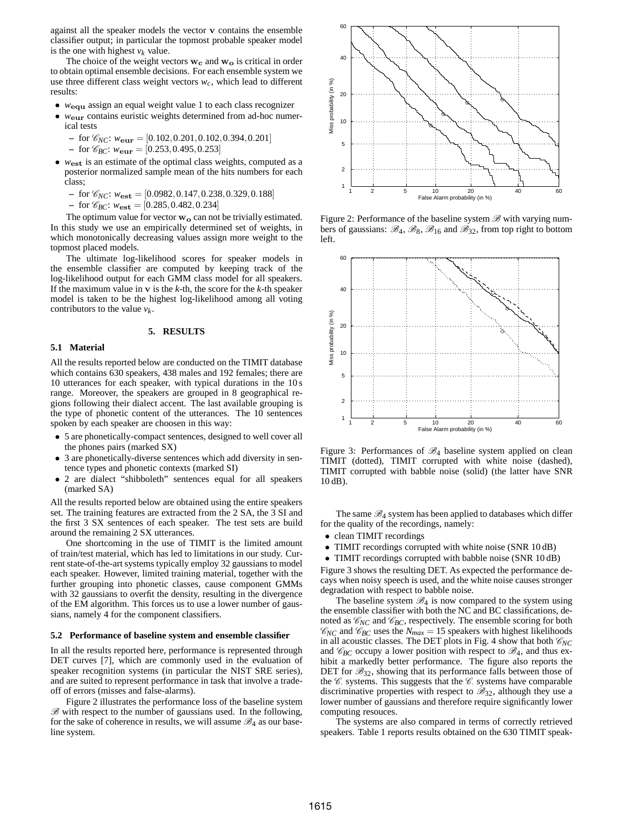against all the speaker models the vector v contains the ensemble classifier output; in particular the topmost probable speaker model is the one with highest  $v_k$  value.

The choice of the weight vectors  $w_c$  and  $w_o$  is critical in order to obtain optimal ensemble decisions. For each ensemble system we use three different class weight vectors  $w_c$ , which lead to different results:

- *w*<sub>equ</sub> assign an equal weight value 1 to each class recognizer
- *w*eur contains euristic weights determined from ad-hoc numerical tests
	- $-$  for  $\mathcal{C}_{NC}$ :  $w_{\text{eur}} = [0.102, 0.201, 0.102, 0.394, 0.201]$
	- $-$  for  $\mathcal{C}_{BC}$ :  $w_{\text{eur}} = [0.253, 0.495, 0.253]$
- *w*est is an estimate of the optimal class weights, computed as a posterior normalized sample mean of the hits numbers for each class;
	- $-$  for  $\mathcal{C}_{NC}$ :  $w_{est} = [0.0982, 0.147, 0.238, 0.329, 0.188]$

 $-$  for  $\mathcal{C}_{BC}$ :  $w_{est} = [0.285, 0.482, 0.234]$ 

The optimum value for vector  $w_0$  can not be trivially estimated. In this study we use an empirically determined set of weights, in which monotonically decreasing values assign more weight to the topmost placed models.

The ultimate log-likelihood scores for speaker models in the ensemble classifier are computed by keeping track of the log-likelihood output for each GMM class model for all speakers. If the maximum value in v is the *k*-th, the score for the *k*-th speaker model is taken to be the highest log-likelihood among all voting contributors to the value  $v_k$ .

## **5. RESULTS**

#### **5.1 Material**

All the results reported below are conducted on the TIMIT database which contains 630 speakers, 438 males and 192 females; there are 10 utterances for each speaker, with typical durations in the 10 s range. Moreover, the speakers are grouped in 8 geographical regions following their dialect accent. The last available grouping is the type of phonetic content of the utterances. The 10 sentences spoken by each speaker are choosen in this way:

- 5 are phonetically-compact sentences, designed to well cover all the phones pairs (marked SX)
- 3 are phonetically-diverse sentences which add diversity in sentence types and phonetic contexts (marked SI)
- 2 are dialect "shibboleth" sentences equal for all speakers (marked SA)

All the results reported below are obtained using the entire speakers set. The training features are extracted from the 2 SA, the 3 SI and the first 3 SX sentences of each speaker. The test sets are build around the remaining 2 SX utterances.

One shortcoming in the use of TIMIT is the limited amount of train/test material, which has led to limitations in our study. Current state-of-the-art systems typically employ 32 gaussians to model each speaker. However, limited training material, together with the further grouping into phonetic classes, cause component GMMs with 32 gaussians to overfit the density, resulting in the divergence of the EM algorithm. This forces us to use a lower number of gaussians, namely 4 for the component classifiers.

#### **5.2 Performance of baseline system and ensemble classifier**

In all the results reported here, performance is represented through DET curves [7], which are commonly used in the evaluation of speaker recognition systems (in particular the NIST SRE series), and are suited to represent performance in task that involve a tradeoff of errors (misses and false-alarms).

Figure 2 illustrates the performance loss of the baseline system  $B$  with respect to the number of gaussians used. In the following, for the sake of coherence in results, we will assume  $\mathcal{B}_4$  as our baseline system.



Figure 2: Performance of the baseline system  $\mathscr B$  with varying numbers of gaussians:  $\mathcal{B}_4$ ,  $\mathcal{B}_8$ ,  $\mathcal{B}_{16}$  and  $\mathcal{B}_{32}$ , from top right to bottom left.



Figure 3: Performances of  $\mathscr{B}_4$  baseline system applied on clean TIMIT (dotted), TIMIT corrupted with white noise (dashed), TIMIT corrupted with babble noise (solid) (the latter have SNR 10 dB).

The same  $\mathcal{B}_4$  system has been applied to databases which differ for the quality of the recordings, namely:

- clean TIMIT recordings
- TIMIT recordings corrupted with white noise (SNR 10 dB)
- TIMIT recordings corrupted with babble noise (SNR 10 dB)

Figure 3 shows the resulting DET. As expected the performance decays when noisy speech is used, and the white noise causes stronger degradation with respect to babble noise.

The baseline system  $\mathcal{B}_4$  is now compared to the system using the ensemble classifier with both the NC and BC classifications, denoted as  $\mathcal{C}_{NC}$  and  $\mathcal{C}_{BC}$ , respectively. The ensemble scoring for both  $\mathcal{C}_{NC}$  and  $\mathcal{C}_{BC}$  uses the  $N_{max} = 15$  speakers with highest likelihoods in all acoustic classes. The DET plots in Fig. 4 show that both  $\mathcal{C}_{NC}$ and  $\mathcal{C}_{BC}$  occupy a lower position with respect to  $\mathcal{B}_4$ , and thus exhibit a markedly better performance. The figure also reports the DET for  $\mathcal{B}_{32}$ , showing that its performance falls between those of the  $\mathcal C$  systems. This suggests that the  $\mathcal C$  systems have comparable discriminative properties with respect to  $\mathcal{B}_{32}$ , although they use a lower number of gaussians and therefore require significantly lower computing resouces.

The systems are also compared in terms of correctly retrieved speakers. Table 1 reports results obtained on the 630 TIMIT speak-